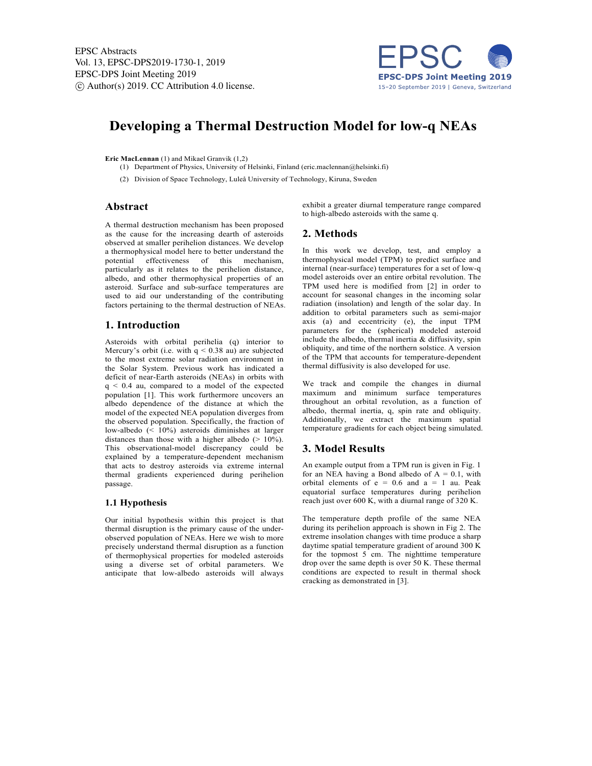

# **Developing a Thermal Destruction Model for low-q NEAs**

#### **Eric MacLennan** (1) and Mikael Granvik (1,2)

- (1) Department of Physics, University of Helsinki, Finland (eric.maclennan@helsinki.fi)
- (2) Division of Space Technology, Luleå University of Technology, Kiruna, Sweden

## **Abstract**

A thermal destruction mechanism has been proposed as the cause for the increasing dearth of asteroids observed at smaller perihelion distances. We develop a thermophysical model here to better understand the potential effectiveness of this mechanism, particularly as it relates to the perihelion distance, albedo, and other thermophysical properties of an asteroid. Surface and sub-surface temperatures are used to aid our understanding of the contributing factors pertaining to the thermal destruction of NEAs.

### **1. Introduction**

Asteroids with orbital perihelia (q) interior to Mercury's orbit (i.e. with  $q < 0.38$  au) are subjected to the most extreme solar radiation environment in the Solar System. Previous work has indicated a deficit of near-Earth asteroids (NEAs) in orbits with q < 0.4 au, compared to a model of the expected population [1]. This work furthermore uncovers an albedo dependence of the distance at which the model of the expected NEA population diverges from the observed population. Specifically, the fraction of low-albedo (< 10%) asteroids diminishes at larger distances than those with a higher albedo ( $> 10\%$ ). This observational-model discrepancy could be explained by a temperature-dependent mechanism that acts to destroy asteroids via extreme internal thermal gradients experienced during perihelion passage.

#### **1.1 Hypothesis**

Our initial hypothesis within this project is that thermal disruption is the primary cause of the underobserved population of NEAs. Here we wish to more precisely understand thermal disruption as a function of thermophysical properties for modeled asteroids using a diverse set of orbital parameters. We anticipate that low-albedo asteroids will always exhibit a greater diurnal temperature range compared to high-albedo asteroids with the same q.

# **2. Methods**

In this work we develop, test, and employ a thermophysical model (TPM) to predict surface and internal (near-surface) temperatures for a set of low-q model asteroids over an entire orbital revolution. The TPM used here is modified from [2] in order to account for seasonal changes in the incoming solar radiation (insolation) and length of the solar day. In addition to orbital parameters such as semi-major axis (a) and eccentricity (e), the input TPM parameters for the (spherical) modeled asteroid include the albedo, thermal inertia  $&$  diffusivity, spin obliquity, and time of the northern solstice. A version of the TPM that accounts for temperature-dependent thermal diffusivity is also developed for use.

We track and compile the changes in diurnal maximum and minimum surface temperatures throughout an orbital revolution, as a function of albedo, thermal inertia, q, spin rate and obliquity. Additionally, we extract the maximum spatial temperature gradients for each object being simulated.

#### **3. Model Results**

An example output from a TPM run is given in Fig. 1 for an NEA having a Bond albedo of  $A = 0.1$ , with orbital elements of  $e = 0.6$  and  $a = 1$  au. Peak equatorial surface temperatures during perihelion reach just over 600 K, with a diurnal range of 320 K.

The temperature depth profile of the same NEA during its perihelion approach is shown in Fig 2. The extreme insolation changes with time produce a sharp daytime spatial temperature gradient of around 300 K for the topmost 5 cm. The nighttime temperature drop over the same depth is over 50 K. These thermal conditions are expected to result in thermal shock cracking as demonstrated in [3].